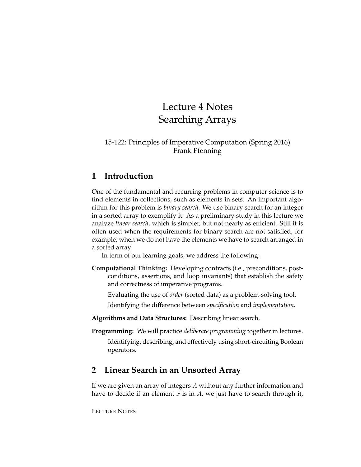# Lecture 4 Notes Searching Arrays

### 15-122: Principles of Imperative Computation (Spring 2016) Frank Pfenning

# **1 Introduction**

One of the fundamental and recurring problems in computer science is to find elements in collections, such as elements in sets. An important algorithm for this problem is *binary search*. We use binary search for an integer in a sorted array to exemplify it. As a preliminary study in this lecture we analyze *linear search*, which is simpler, but not nearly as efficient. Still it is often used when the requirements for binary search are not satisfied, for example, when we do not have the elements we have to search arranged in a sorted array.

In term of our learning goals, we address the following:

- **Computational Thinking:** Developing contracts (i.e., preconditions, postconditions, assertions, and loop invariants) that establish the safety and correctness of imperative programs.
	- Evaluating the use of *order* (sorted data) as a problem-solving tool.
	- Identifying the difference between *specification* and *implementation*.
- **Algorithms and Data Structures:** Describing linear search.
- **Programming:** We will practice *deliberate programming* together in lectures. Identifying, describing, and effectively using short-circuiting Boolean operators.

# **2 Linear Search in an Unsorted Array**

If we are given an array of integers A without any further information and have to decide if an element x is in A, we just have to search through it,

LECTURE NOTES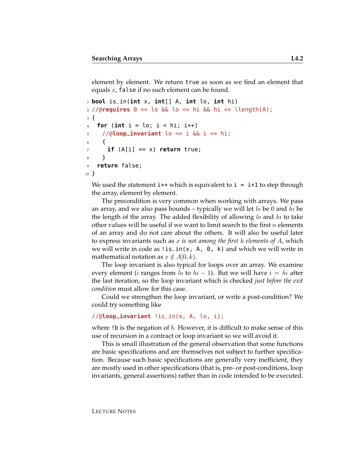element by element. We return true as soon as we find an element that equals  $x$ , false if no such element can be found.

```
1 bool is_in(int x, int[] A, int lo, int hi)
2 //@requires 0 <= lo && lo <= hi && hi <= \length(A);
3 {
   for (int i = \log i < \log i; i++)5 //@loop_invariant lo <= i && i <= hi;
    \{7 if (A[i] == x) return true;
8 }
9 return false;
10 }
```
We used the statement  $i++$  which is equivalent to  $i = i+1$  to step through the array, element by element.

The precondition is very common when working with arrays. We pass an array, and we also pass bounds – typically we will let lo be 0 and hi be the length of the array. The added flexibility of allowing  $lo$  and  $hi$  to take other values will be useful if we want to limit search to the first  $n$  elements of an array and do not care about the others. It will also be useful later to express invariants such as x *is not among the first* k *elements of* A, which we will write in code as  $\exists$  is\_in(x, A, 0, k) and which we will write in mathematical notation as  $x \notin A[0, k)$ .

The loop invariant is also typical for loops over an array. We examine every element (*i* ranges from lo to  $hi - 1$ ). But we will have  $i = hi$  after the last iteration, so the loop invariant which is checked *just before the exit condition* must allow for this case.

Could we strengthen the loop invariant, or write a post-condition? We could try something like

#### //@**loop\_invariant** !is\_in(x, A, lo, i);

where  $\mu$  is the negation of b. However, it is difficult to make sense of this use of recursion in a contract or loop invariant so we will avoid it.

This is small illustration of the general observation that some functions are basic specifications and are themselves not subject to further specification. Because such basic specifications are generally very inefficient, they are mostly used in other specifications (that is, pre- or post-conditions, loop invariants, general assertions) rather than in code intended to be executed.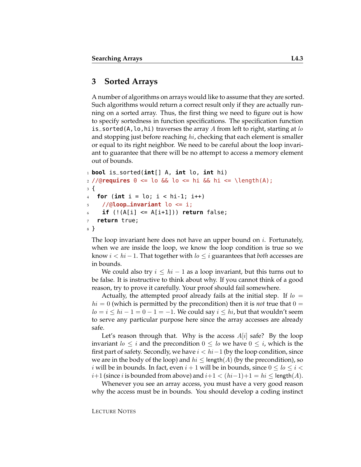### **3 Sorted Arrays**

A number of algorithms on arrays would like to assume that they are sorted. Such algorithms would return a correct result only if they are actually running on a sorted array. Thus, the first thing we need to figure out is how to specify sortedness in function specifications. The specification function is\_sorted(A,lo,hi) traverses the array A from left to right, starting at  $lo$ and stopping just before reaching  $hi$ , checking that each element is smaller or equal to its right neighbor. We need to be careful about the loop invariant to guarantee that there will be no attempt to access a memory element out of bounds.

```
1 bool is_sorted(int[] A, int lo, int hi)
2 //@requires 0 <= lo && lo <= hi && hi <= \length(A);
3 {
4 for (int i = lo; i < hi-1; i++)
5 //@loop_invariant lo <= i;
    6 if (!(A[i] <= A[i+1])) return false;
7 return true;
8 }
```
The loop invariant here does not have an upper bound on  $i$ . Fortunately, when we are inside the loop, we know the loop condition is true so we know i < hi −1. That together with lo ≤ i guarantees that *both* accesses are in bounds.

We could also try  $i \leq hi - 1$  as a loop invariant, but this turns out to be false. It is instructive to think about why. If you cannot think of a good reason, try to prove it carefully. Your proof should fail somewhere.

Actually, the attempted proof already fails at the initial step. If  $l\sigma =$  $hi = 0$  (which is permitted by the precondition) then it is *not* true that  $0 =$  $l_0 = i \leq hi-1 = 0-1 = -1$ . We could say  $i \leq hi$ , but that wouldn't seem to serve any particular purpose here since the array accesses are already safe.

Let's reason through that. Why is the access  $A[i]$  safe? By the loop invariant  $l_0 \leq i$  and the precondition  $0 \leq l_0$  we have  $0 \leq i$ , which is the first part of safety. Secondly, we have  $i < hi-1$  (by the loop condition, since we are in the body of the loop) and  $hi \leq$  length(A) (by the precondition), so i will be in bounds. In fact, even  $i+1$  will be in bounds, since  $0 \leq l$   $\leq i$   $\leq$ *i*+1 (since *i* is bounded from above) and  $i+1 < (hi-1)+1 = hi \leq$  length(*A*).

Whenever you see an array access, you must have a very good reason why the access must be in bounds. You should develop a coding instinct

LECTURE NOTES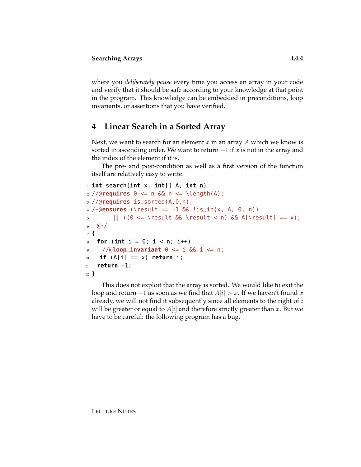where you *deliberately pause* every time you access an array in your code and verify that it should be safe according to your knowledge at that point in the program. This knowledge can be embedded in preconditions, loop invariants, or assertions that you have verified.

# **4 Linear Search in a Sorted Array**

Next, we want to search for an element  $x$  in an array  $A$  which we know is sorted in ascending order. We want to return  $-1$  if x is not in the array and the index of the element if it is.

The pre- and post-condition as well as a first version of the function itself are relatively easy to write.

```
1 int search(int x, int[] A, int n)
2 //@requires 0 \le n & n \le \text{length}(A);
3 //@requires is_sorted(A,0,n);
4 /*@ensures (\result == -1 && !is_in(x, A, 0, n))
\begin{bmatrix} 5 \end{bmatrix} (0 \le \ \text{d} \text{ result} \le n) && A[\result] == x);
6 \frac{6}{7}7 {
8 for (int i = 0; i < n; i++)9 //@loop_invariant 0 <= i && i <= n;
10 if (A[i] == x) return i;
11 return -1;
12 }
```
This does not exploit that the array is sorted. We would like to exit the loop and return  $-1$  as soon as we find that  $A[i] > x$ . If we haven't found x already, we will not find it subsequently since all elements to the right of  $i$ will be greater or equal to  $A[i]$  and therefore strictly greater than x. But we have to be careful: the following program has a bug.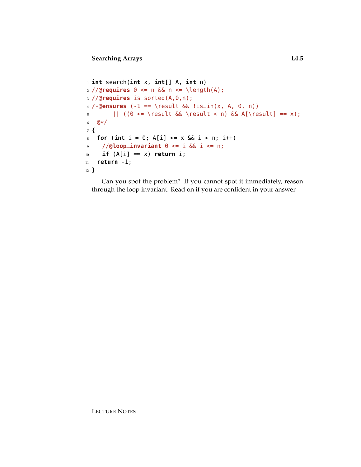```
1 int search(int x, int[] A, int n)
2 //@requires 0 <= n && n <= \length(A);
3 //@requires is_sorted(A,0,n);
4 /*@ensures (-1 == \result && !is_in(x, A, 0, n))
\left| \right| ((0 <= \result && \result < n) && A[\result] == x);
6 @*/
7 {
8 for (int i = 0; A[i] \le x \& 1 \le n; i++)
9 //@loop_invariant 0 <= i && i <= n;
10 if (A[i] == x) return i;
11 return -1;
12 }
```
Can you spot the problem? If you cannot spot it immediately, reason through the loop invariant. Read on if you are confident in your answer.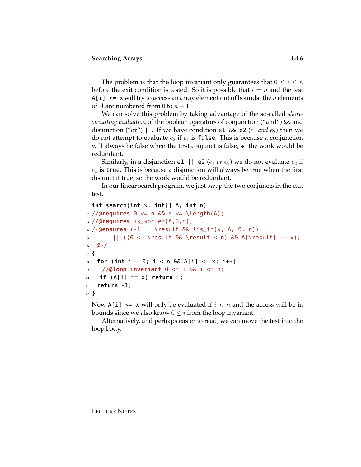The problem is that the loop invariant only guarantees that  $0 \le i \le n$ before the exit condition is tested. So it is possible that  $i = n$  and the test  $A[i] \le x$  will try to access an array element out of bounds: the *n* elements of A are numbered from 0 to  $n - 1$ .

We can solve this problem by taking advantage of the so-called *shortcircuiting evaluation* of the boolean operators of conjunction ("and") && and disjunction ("or") ||. If we have condition e1  $\&$  e2 ( $e_1$  *and*  $e_2$ ) then we do not attempt to evaluate  $e_2$  if  $e_1$  is false. This is because a conjunction will always be false when the first conjunct is false, so the work would be redundant.

Similarly, in a disjunction e1 || e2  $(e_1$  *or*  $e_2$ ) we do not evaluate  $e_2$  if  $e_1$  is true. This is because a disjunction will always be true when the first disjunct it true, so the work would be redundant.

In our linear search program, we just swap the two conjuncts in the exit test.

```
1 int search(int x, int[] A, int n)
2 //@requires 0 \le n & n \le \le \text{length}(A);
3 //@requires is_sorted(A,0,n);
4 /*@ensures (-1 == \result && !is_in(x, A, 0, n))
5 || ((0 <= \result && \result < n) && A[\result] == x);
6 @*/
7 {
8 for (int i = 0; i < n && A[i] <= x; i++)
9 //@loop_invariant 0 <= i && i <= n;
10 if (A[i] == x) return i;
11 return -1;
12 }
```
Now  $A[i] \leq x$  will only be evaluated if  $i < n$  and the access will be in bounds since we also know  $0 \leq i$  from the loop invariant.

Alternatively, and perhaps easier to read, we can move the test into the loop body.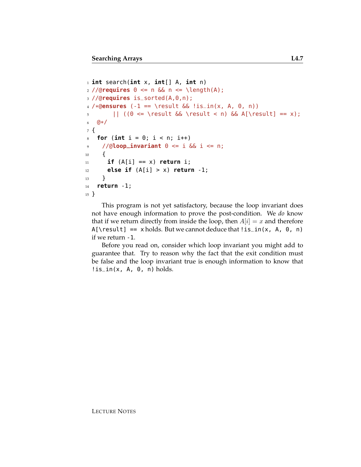```
1 int search(int x, int[] A, int n)
2 //@requires 0 \le n & n \le \le \text{length}(A);
3 //@requires is_sorted(A,0,n);
4 /*@ensures (-1 == \result && !is_in(x, A, 0, n))
\begin{bmatrix} 5 \end{bmatrix} (0 \le \ \text{d} \text{ result} \le n) && A[\result] == x);
6 @*/
7 {
8 for (int i = 0; i < n; i++)9 //@loop_invariant 0 <= i && i <= n;
10 \qquad \qquad11 if (A[i] == x) return i;
12 else if (A[i] > x) return -1;
13 }
14 return -1;
15 }
```
This program is not yet satisfactory, because the loop invariant does not have enough information to prove the post-condition. We *do* know that if we return directly from inside the loop, then  $A[i] = x$  and therefore  $A[\text{result}] == \text{x holds.}$  But we cannot deduce that  $\text{list}\,(x, A, 0, n)$ if we return -1.

Before you read on, consider which loop invariant you might add to guarantee that. Try to reason why the fact that the exit condition must be false and the loop invariant true is enough information to know that  $\text{lis}\_in(x, A, \theta, n)$  holds.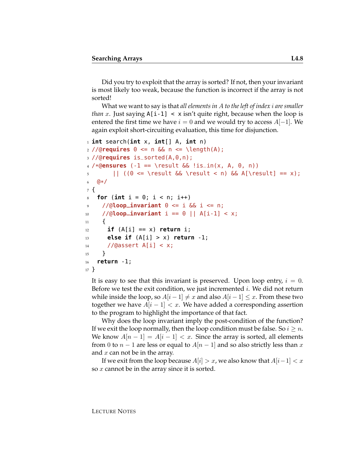Did you try to exploit that the array is sorted? If not, then your invariant is most likely too weak, because the function is incorrect if the array is not sorted!

What we want to say is that *all elements in* A *to the left of index* i *are smaller than* x. Just saying A[i-1] < x isn't quite right, because when the loop is entered the first time we have  $i = 0$  and we would try to access  $A[-1]$ . We again exploit short-circuiting evaluation, this time for disjunction.

```
1 int search(int x, int[] A, int n)
2 //@requires 0 \le n & n \le \lambda length(A);
3 //@requires is_sorted(A,0,n);
4 /*@ensures (-1 == \result && !is_in(x, A, 0, n))
\begin{bmatrix} 5 \end{bmatrix} (0 \le \ \ \ \text{6\& \ \ \ \ \text{c\& \ } \end{bmatrix} \begin{bmatrix} 6 & 1 \\ 2 & 3 \end{bmatrix} \begin{bmatrix} -2 & 3 \\ 3 & 4 \end{bmatrix} \begin{bmatrix} -2 & 3 \\ 3 & 4 \end{bmatrix} \begin{bmatrix} -2 & 3 \\ 2 & 4 \end{bmatrix} \begin{bmatrix} -2 & 3 \\ 2 & 4 \end{bmatrix} \begin{bmatrix} -2 & 3 \\ 3 &6 \frac{6}{7}7 {
8 for (int i = 0; i < n; i++)
9 //@loop_invariant 0 <= i && i <= n;
10 //@loop_invariant i == 0 || A[i-1] < x;
11 \quad \text{f}_{12} if (A[i] == x) return i;
13 else if (A[i] > x) return -1;
14 //@assert A[i] < x;
15 }
16 return -1;
17 }
```
It is easy to see that this invariant is preserved. Upon loop entry,  $i = 0$ . Before we test the exit condition, we just incremented  $i$ . We did not return while inside the loop, so  $A[i-1] \neq x$  and also  $A[i-1] \leq x$ . From these two together we have  $A[i-1] < x$ . We have added a corresponding assertion to the program to highlight the importance of that fact.

Why does the loop invariant imply the post-condition of the function? If we exit the loop normally, then the loop condition must be false. So  $i \geq n$ . We know  $A[n-1] = A[i-1] < x$ . Since the array is sorted, all elements from 0 to  $n-1$  are less or equal to  $A[n-1]$  and so also strictly less than x and  $x$  can not be in the array.

If we exit from the loop because  $A[i] > x$ , we also know that  $A[i-1] < x$ so  $x$  cannot be in the array since it is sorted.